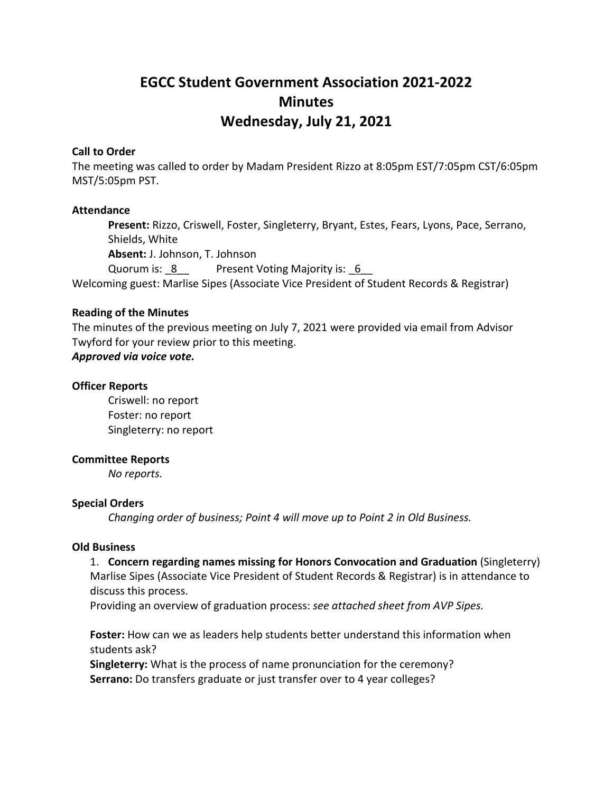# **EGCC Student Government Association 2021-2022 Minutes Wednesday, July 21, 2021**

## **Call to Order**

The meeting was called to order by Madam President Rizzo at 8:05pm EST/7:05pm CST/6:05pm MST/5:05pm PST.

## **Attendance**

**Present:** Rizzo, Criswell, Foster, Singleterry, Bryant, Estes, Fears, Lyons, Pace, Serrano, Shields, White **Absent:** J. Johnson, T. Johnson Quorum is: 8 Present Voting Majority is: 6

Welcoming guest: Marlise Sipes (Associate Vice President of Student Records & Registrar)

## **Reading of the Minutes**

The minutes of the previous meeting on July 7, 2021 were provided via email from Advisor Twyford for your review prior to this meeting.

# *Approved via voice vote.*

## **Officer Reports**

Criswell: no report Foster: no report Singleterry: no report

#### **Committee Reports**

*No reports.*

#### **Special Orders**

*Changing order of business; Point 4 will move up to Point 2 in Old Business.*

#### **Old Business**

## 1. **Concern regarding names missing for Honors Convocation and Graduation** (Singleterry)

Marlise Sipes (Associate Vice President of Student Records & Registrar) is in attendance to discuss this process.

Providing an overview of graduation process: *see attached sheet from AVP Sipes.*

**Foster:** How can we as leaders help students better understand this information when students ask?

**Singleterry:** What is the process of name pronunciation for the ceremony? **Serrano:** Do transfers graduate or just transfer over to 4 year colleges?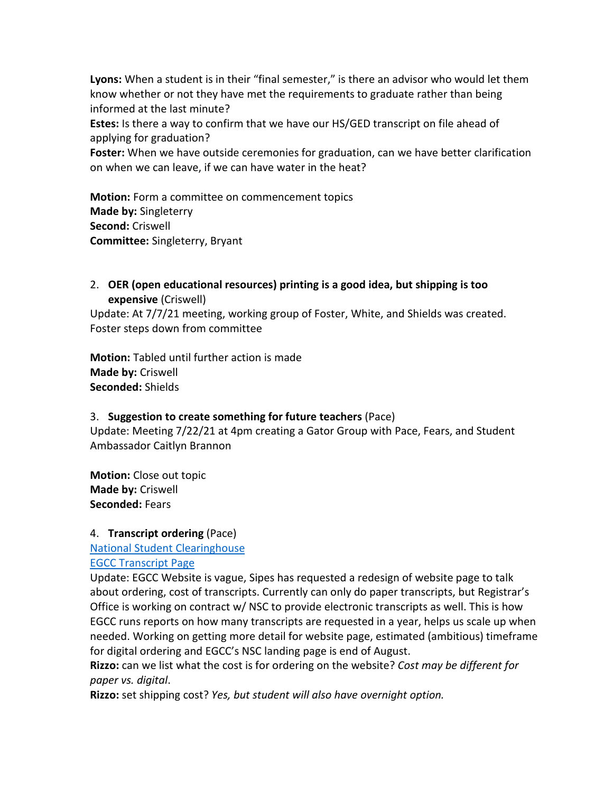**Lyons:** When a student is in their "final semester," is there an advisor who would let them know whether or not they have met the requirements to graduate rather than being informed at the last minute?

**Estes:** Is there a way to confirm that we have our HS/GED transcript on file ahead of applying for graduation?

**Foster:** When we have outside ceremonies for graduation, can we have better clarification on when we can leave, if we can have water in the heat?

**Motion:** Form a committee on commencement topics **Made by:** Singleterry **Second:** Criswell **Committee:** Singleterry, Bryant

# 2. **OER (open educational resources) printing is a good idea, but shipping is too expensive** (Criswell)

Update: At 7/7/21 meeting, working group of Foster, White, and Shields was created. Foster steps down from committee

**Motion:** Tabled until further action is made **Made by:** Criswell **Seconded:** Shields

# 3. **Suggestion to create something for future teachers** (Pace)

Update: Meeting 7/22/21 at 4pm creating a Gator Group with Pace, Fears, and Student Ambassador Caitlyn Brannon

**Motion:** Close out topic **Made by:** Criswell **Seconded:** Fears

# 4. **Transcript ordering** (Pace)

[National Student Clearinghouse](https://www.studentclearinghouse.org/)

[EGCC Transcript Page](https://egcc.edu/academics/general-information/transcript-request/)

Update: EGCC Website is vague, Sipes has requested a redesign of website page to talk about ordering, cost of transcripts. Currently can only do paper transcripts, but Registrar's Office is working on contract w/ NSC to provide electronic transcripts as well. This is how EGCC runs reports on how many transcripts are requested in a year, helps us scale up when needed. Working on getting more detail for website page, estimated (ambitious) timeframe for digital ordering and EGCC's NSC landing page is end of August.

**Rizzo:** can we list what the cost is for ordering on the website? *Cost may be different for paper vs. digital*.

**Rizzo:** set shipping cost? *Yes, but student will also have overnight option.*